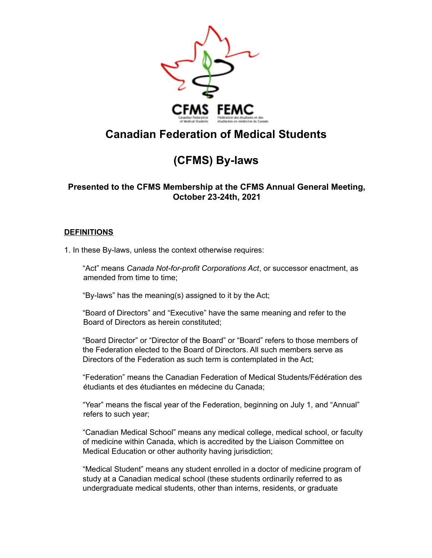

# **Canadian Federation of Medical Students**

# **(CFMS) By-laws**

## **Presented to the CFMS Membership at the CFMS Annual General Meeting, October 23-24th, 2021**

## **DEFINITIONS**

1. In these By-laws, unless the context otherwise requires:

"Act" means *Canada Not-for-profit Corporations Act*, or successor enactment, as amended from time to time;

"By-laws" has the meaning(s) assigned to it by the Act;

"Board of Directors" and "Executive" have the same meaning and refer to the Board of Directors as herein constituted;

"Board Director" or "Director of the Board" or "Board" refers to those members of the Federation elected to the Board of Directors. All such members serve as Directors of the Federation as such term is contemplated in the Act;

"Federation" means the Canadian Federation of Medical Students/Fédération des étudiants et des étudiantes en médecine du Canada;

"Year" means the fiscal year of the Federation, beginning on July 1, and "Annual" refers to such year;

"Canadian Medical School" means any medical college, medical school, or faculty of medicine within Canada, which is accredited by the Liaison Committee on Medical Education or other authority having jurisdiction;

"Medical Student" means any student enrolled in a doctor of medicine program of study at a Canadian medical school (these students ordinarily referred to as undergraduate medical students, other than interns, residents, or graduate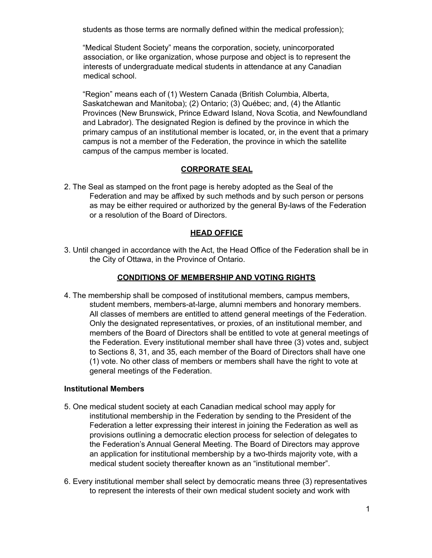students as those terms are normally defined within the medical profession);

"Medical Student Society" means the corporation, society, unincorporated association, or like organization, whose purpose and object is to represent the interests of undergraduate medical students in attendance at any Canadian medical school.

"Region" means each of (1) Western Canada (British Columbia, Alberta, Saskatchewan and Manitoba); (2) Ontario; (3) Québec; and, (4) the Atlantic Provinces (New Brunswick, Prince Edward Island, Nova Scotia, and Newfoundland and Labrador). The designated Region is defined by the province in which the primary campus of an institutional member is located, or, in the event that a primary campus is not a member of the Federation, the province in which the satellite campus of the campus member is located.

## **CORPORATE SEAL**

2. The Seal as stamped on the front page is hereby adopted as the Seal of the Federation and may be affixed by such methods and by such person or persons as may be either required or authorized by the general By-laws of the Federation or a resolution of the Board of Directors.

#### **HEAD OFFICE**

3. Until changed in accordance with the Act, the Head Office of the Federation shall be in the City of Ottawa, in the Province of Ontario.

#### **CONDITIONS OF MEMBERSHIP AND VOTING RIGHTS**

4. The membership shall be composed of institutional members, campus members, student members, members-at-large, alumni members and honorary members. All classes of members are entitled to attend general meetings of the Federation. Only the designated representatives, or proxies, of an institutional member, and members of the Board of Directors shall be entitled to vote at general meetings of the Federation. Every institutional member shall have three (3) votes and, subject to Sections 8, 31, and 35, each member of the Board of Directors shall have one (1) vote. No other class of members or members shall have the right to vote at general meetings of the Federation.

#### **Institutional Members**

- 5. One medical student society at each Canadian medical school may apply for institutional membership in the Federation by sending to the President of the Federation a letter expressing their interest in joining the Federation as well as provisions outlining a democratic election process for selection of delegates to the Federation's Annual General Meeting. The Board of Directors may approve an application for institutional membership by a two-thirds majority vote, with a medical student society thereafter known as an "institutional member".
- 6. Every institutional member shall select by democratic means three (3) representatives to represent the interests of their own medical student society and work with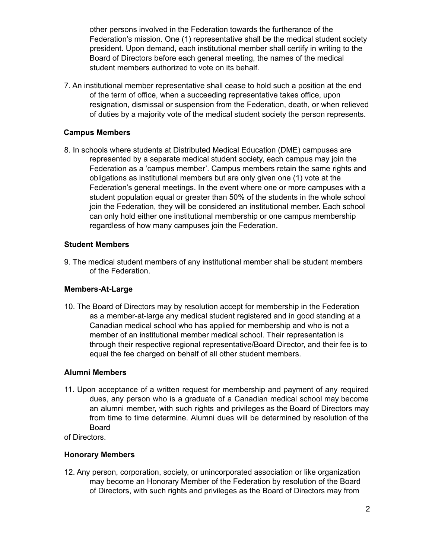other persons involved in the Federation towards the furtherance of the Federation's mission. One (1) representative shall be the medical student society president. Upon demand, each institutional member shall certify in writing to the Board of Directors before each general meeting, the names of the medical student members authorized to vote on its behalf.

7. An institutional member representative shall cease to hold such a position at the end of the term of office, when a succeeding representative takes office, upon resignation, dismissal or suspension from the Federation, death, or when relieved of duties by a majority vote of the medical student society the person represents.

#### **Campus Members**

8. In schools where students at Distributed Medical Education (DME) campuses are represented by a separate medical student society, each campus may join the Federation as a 'campus member'. Campus members retain the same rights and obligations as institutional members but are only given one (1) vote at the Federation's general meetings. In the event where one or more campuses with a student population equal or greater than 50% of the students in the whole school join the Federation, they will be considered an institutional member. Each school can only hold either one institutional membership or one campus membership regardless of how many campuses join the Federation.

#### **Student Members**

9. The medical student members of any institutional member shall be student members of the Federation.

#### **Members-At-Large**

10. The Board of Directors may by resolution accept for membership in the Federation as a member-at-large any medical student registered and in good standing at a Canadian medical school who has applied for membership and who is not a member of an institutional member medical school. Their representation is through their respective regional representative/Board Director, and their fee is to equal the fee charged on behalf of all other student members.

#### **Alumni Members**

11. Upon acceptance of a written request for membership and payment of any required dues, any person who is a graduate of a Canadian medical school may become an alumni member, with such rights and privileges as the Board of Directors may from time to time determine. Alumni dues will be determined by resolution of the Board

of Directors.

#### **Honorary Members**

12. Any person, corporation, society, or unincorporated association or like organization may become an Honorary Member of the Federation by resolution of the Board of Directors, with such rights and privileges as the Board of Directors may from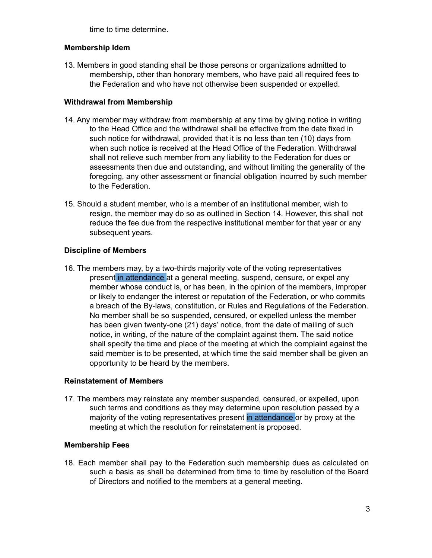time to time determine.

#### **Membership Idem**

13. Members in good standing shall be those persons or organizations admitted to membership, other than honorary members, who have paid all required fees to the Federation and who have not otherwise been suspended or expelled.

#### **Withdrawal from Membership**

- 14. Any member may withdraw from membership at any time by giving notice in writing to the Head Office and the withdrawal shall be effective from the date fixed in such notice for withdrawal, provided that it is no less than ten (10) days from when such notice is received at the Head Office of the Federation. Withdrawal shall not relieve such member from any liability to the Federation for dues or assessments then due and outstanding, and without limiting the generality of the foregoing, any other assessment or financial obligation incurred by such member to the Federation.
- 15. Should a student member, who is a member of an institutional member, wish to resign, the member may do so as outlined in Section 14. However, this shall not reduce the fee due from the respective institutional member for that year or any subsequent years.

#### **Discipline of Members**

16. The members may, by a two-thirds majority vote of the voting representatives present in attendance at a general meeting, suspend, censure, or expel any member whose conduct is, or has been, in the opinion of the members, improper or likely to endanger the interest or reputation of the Federation, or who commits a breach of the By-laws, constitution, or Rules and Regulations of the Federation. No member shall be so suspended, censured, or expelled unless the member has been given twenty-one (21) days' notice, from the date of mailing of such notice, in writing, of the nature of the complaint against them. The said notice shall specify the time and place of the meeting at which the complaint against the said member is to be presented, at which time the said member shall be given an opportunity to be heard by the members.

#### **Reinstatement of Members**

17. The members may reinstate any member suspended, censured, or expelled, upon such terms and conditions as they may determine upon resolution passed by a majority of the voting representatives present in attendance or by proxy at the meeting at which the resolution for reinstatement is proposed.

#### **Membership Fees**

18. Each member shall pay to the Federation such membership dues as calculated on such a basis as shall be determined from time to time by resolution of the Board of Directors and notified to the members at a general meeting.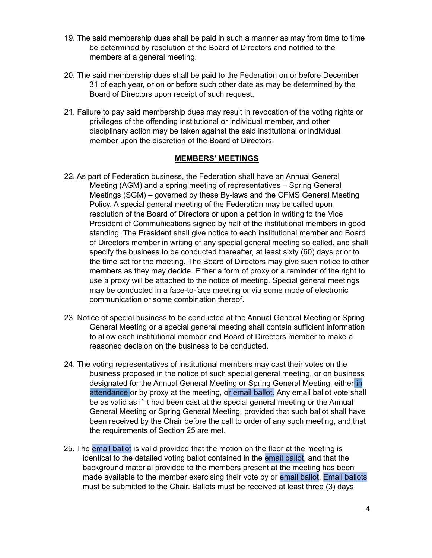- 19. The said membership dues shall be paid in such a manner as may from time to time be determined by resolution of the Board of Directors and notified to the members at a general meeting.
- 20. The said membership dues shall be paid to the Federation on or before December 31 of each year, or on or before such other date as may be determined by the Board of Directors upon receipt of such request.
- 21. Failure to pay said membership dues may result in revocation of the voting rights or privileges of the offending institutional or individual member, and other disciplinary action may be taken against the said institutional or individual member upon the discretion of the Board of Directors.

#### **MEMBERS' MEETINGS**

- 22. As part of Federation business, the Federation shall have an Annual General Meeting (AGM) and a spring meeting of representatives – Spring General Meetings (SGM) – governed by these By-laws and the CFMS General Meeting Policy. A special general meeting of the Federation may be called upon resolution of the Board of Directors or upon a petition in writing to the Vice President of Communications signed by half of the institutional members in good standing. The President shall give notice to each institutional member and Board of Directors member in writing of any special general meeting so called, and shall specify the business to be conducted thereafter, at least sixty (60) days prior to the time set for the meeting. The Board of Directors may give such notice to other members as they may decide. Either a form of proxy or a reminder of the right to use a proxy will be attached to the notice of meeting. Special general meetings may be conducted in a face-to-face meeting or via some mode of electronic communication or some combination thereof.
- 23. Notice of special business to be conducted at the Annual General Meeting or Spring General Meeting or a special general meeting shall contain sufficient information to allow each institutional member and Board of Directors member to make a reasoned decision on the business to be conducted.
- 24. The voting representatives of institutional members may cast their votes on the business proposed in the notice of such special general meeting, or on business designated for the Annual General Meeting or Spring General Meeting, either in attendance or by proxy at the meeting, or email ballot. Any email ballot vote shall be as valid as if it had been cast at the special general meeting or the Annual General Meeting or Spring General Meeting, provided that such ballot shall have been received by the Chair before the call to order of any such meeting, and that the requirements of Section 25 are met.
- 25. The email ballot is valid provided that the motion on the floor at the meeting is identical to the detailed voting ballot contained in the email ballot, and that the background material provided to the members present at the meeting has been made available to the member exercising their vote by or email ballot. Email ballots must be submitted to the Chair. Ballots must be received at least three (3) days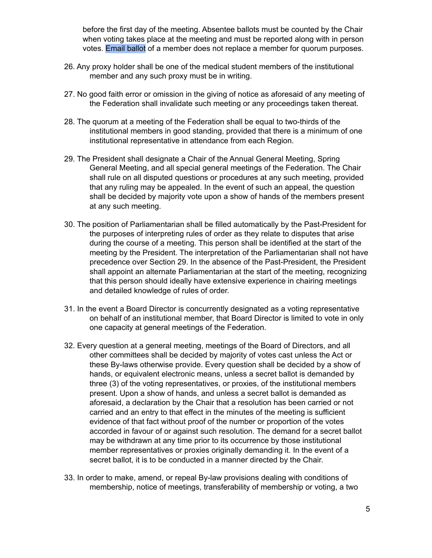before the first day of the meeting. Absentee ballots must be counted by the Chair when voting takes place at the meeting and must be reported along with in person votes. Email ballot of a member does not replace a member for quorum purposes.

- 26. Any proxy holder shall be one of the medical student members of the institutional member and any such proxy must be in writing.
- 27. No good faith error or omission in the giving of notice as aforesaid of any meeting of the Federation shall invalidate such meeting or any proceedings taken thereat.
- 28. The quorum at a meeting of the Federation shall be equal to two-thirds of the institutional members in good standing, provided that there is a minimum of one institutional representative in attendance from each Region.
- 29. The President shall designate a Chair of the Annual General Meeting, Spring General Meeting, and all special general meetings of the Federation. The Chair shall rule on all disputed questions or procedures at any such meeting, provided that any ruling may be appealed. In the event of such an appeal, the question shall be decided by majority vote upon a show of hands of the members present at any such meeting.
- 30. The position of Parliamentarian shall be filled automatically by the Past-President for the purposes of interpreting rules of order as they relate to disputes that arise during the course of a meeting. This person shall be identified at the start of the meeting by the President. The interpretation of the Parliamentarian shall not have precedence over Section 29. In the absence of the Past-President, the President shall appoint an alternate Parliamentarian at the start of the meeting, recognizing that this person should ideally have extensive experience in chairing meetings and detailed knowledge of rules of order.
- 31. In the event a Board Director is concurrently designated as a voting representative on behalf of an institutional member, that Board Director is limited to vote in only one capacity at general meetings of the Federation.
- 32. Every question at a general meeting, meetings of the Board of Directors, and all other committees shall be decided by majority of votes cast unless the Act or these By-laws otherwise provide. Every question shall be decided by a show of hands, or equivalent electronic means, unless a secret ballot is demanded by three (3) of the voting representatives, or proxies, of the institutional members present. Upon a show of hands, and unless a secret ballot is demanded as aforesaid, a declaration by the Chair that a resolution has been carried or not carried and an entry to that effect in the minutes of the meeting is sufficient evidence of that fact without proof of the number or proportion of the votes accorded in favour of or against such resolution. The demand for a secret ballot may be withdrawn at any time prior to its occurrence by those institutional member representatives or proxies originally demanding it. In the event of a secret ballot, it is to be conducted in a manner directed by the Chair.
- 33. In order to make, amend, or repeal By-law provisions dealing with conditions of membership, notice of meetings, transferability of membership or voting, a two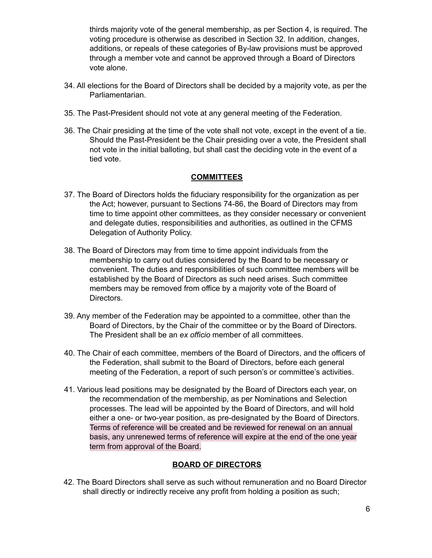thirds majority vote of the general membership, as per Section 4, is required. The voting procedure is otherwise as described in Section 32. In addition, changes, additions, or repeals of these categories of By-law provisions must be approved through a member vote and cannot be approved through a Board of Directors vote alone.

- 34. All elections for the Board of Directors shall be decided by a majority vote, as per the Parliamentarian.
- 35. The Past-President should not vote at any general meeting of the Federation.
- 36. The Chair presiding at the time of the vote shall not vote, except in the event of a tie. Should the Past-President be the Chair presiding over a vote, the President shall not vote in the initial balloting, but shall cast the deciding vote in the event of a tied vote.

#### **COMMITTEES**

- 37. The Board of Directors holds the fiduciary responsibility for the organization as per the Act; however, pursuant to Sections 74-86, the Board of Directors may from time to time appoint other committees, as they consider necessary or convenient and delegate duties, responsibilities and authorities, as outlined in the CFMS Delegation of Authority Policy.
- 38. The Board of Directors may from time to time appoint individuals from the membership to carry out duties considered by the Board to be necessary or convenient. The duties and responsibilities of such committee members will be established by the Board of Directors as such need arises. Such committee members may be removed from office by a majority vote of the Board of Directors.
- 39. Any member of the Federation may be appointed to a committee, other than the Board of Directors, by the Chair of the committee or by the Board of Directors. The President shall be an *ex officio* member of all committees.
- 40. The Chair of each committee, members of the Board of Directors, and the officers of the Federation, shall submit to the Board of Directors, before each general meeting of the Federation, a report of such person's or committee's activities.
- 41. Various lead positions may be designated by the Board of Directors each year, on the recommendation of the membership, as per Nominations and Selection processes. The lead will be appointed by the Board of Directors, and will hold either a one- or two-year position, as pre-designated by the Board of Directors. Terms of reference will be created and be reviewed for renewal on an annual basis, any unrenewed terms of reference will expire at the end of the one year term from approval of the Board.

#### **BOARD OF DIRECTORS**

42. The Board Directors shall serve as such without remuneration and no Board Director shall directly or indirectly receive any profit from holding a position as such;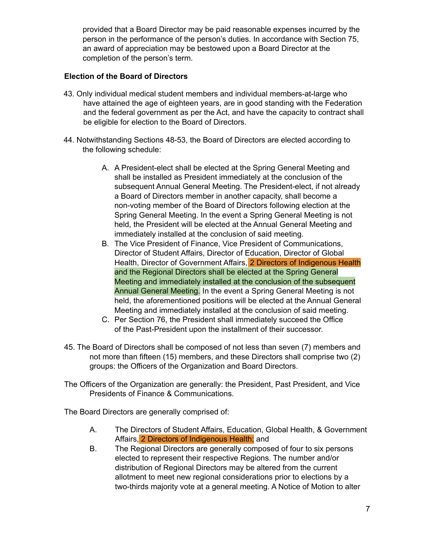provided that a Board Director may be paid reasonable expenses incurred by the person in the performance of the person's duties. In accordance with Section 75, an award of appreciation may be bestowed upon a Board Director at the completion of the person's term.

#### **Election of the Board of Directors**

- 43. Only individual medical student members and individual members-at-large who have attained the age of eighteen years, are in good standing with the Federation and the federal government as per the Act, and have the capacity to contract shall be eligible for election to the Board of Directors.
- 44. Notwithstanding Sections 48-53, the Board of Directors are elected according to the following schedule:
	- A. A President-elect shall be elected at the Spring General Meeting and shall be installed as President immediately at the conclusion of the subsequent Annual General Meeting. The President-elect, if not already a Board of Directors member in another capacity, shall become a non-voting member of the Board of Directors following election at the Spring General Meeting. In the event a Spring General Meeting is not held, the President will be elected at the Annual General Meeting and immediately installed at the conclusion of said meeting.
	- B. The Vice President of Finance, Vice President of Communications, Director of Student Affairs, Director of Education, Director of Global Health, Director of Government Affairs, 2 Directors of Indigenous Health and the Regional Directors shall be elected at the Spring General Meeting and immediately installed at the conclusion of the subsequent Annual General Meeting. In the event a Spring General Meeting is not held, the aforementioned positions will be elected at the Annual General Meeting and immediately installed at the conclusion of said meeting.
	- C. Per Section 76, the President shall immediately succeed the Office of the Past-President upon the installment of their successor.
- 45. The Board of Directors shall be composed of not less than seven (7) members and not more than fifteen (15) members, and these Directors shall comprise two (2) groups: the Officers of the Organization and Board Directors.
- The Officers of the Organization are generally: the President, Past President, and Vice Presidents of Finance & Communications.

The Board Directors are generally comprised of:

- A. The Directors of Student Affairs, Education, Global Health, & Government Affairs, 2 Directors of Indigenous Health; and
- B. The Regional Directors are generally composed of four to six persons elected to represent their respective Regions. The number and/or distribution of Regional Directors may be altered from the current allotment to meet new regional considerations prior to elections by a two-thirds majority vote at a general meeting. A Notice of Motion to alter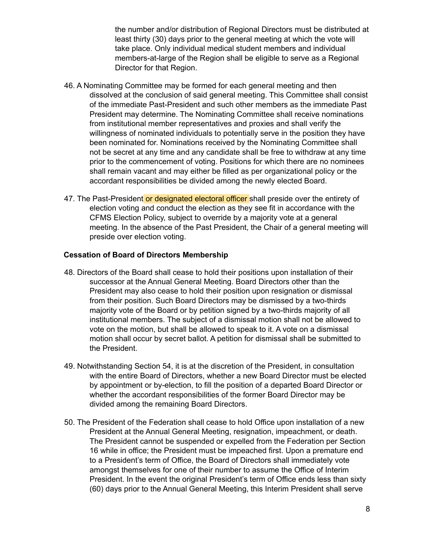the number and/or distribution of Regional Directors must be distributed at least thirty (30) days prior to the general meeting at which the vote will take place. Only individual medical student members and individual members-at-large of the Region shall be eligible to serve as a Regional Director for that Region.

- 46. A Nominating Committee may be formed for each general meeting and then dissolved at the conclusion of said general meeting. This Committee shall consist of the immediate Past-President and such other members as the immediate Past President may determine. The Nominating Committee shall receive nominations from institutional member representatives and proxies and shall verify the willingness of nominated individuals to potentially serve in the position they have been nominated for. Nominations received by the Nominating Committee shall not be secret at any time and any candidate shall be free to withdraw at any time prior to the commencement of voting. Positions for which there are no nominees shall remain vacant and may either be filled as per organizational policy or the accordant responsibilities be divided among the newly elected Board.
- 47. The Past-President or designated electoral officer shall preside over the entirety of election voting and conduct the election as they see fit in accordance with the CFMS Election Policy, subject to override by a majority vote at a general meeting. In the absence of the Past President, the Chair of a general meeting will preside over election voting.

#### **Cessation of Board of Directors Membership**

- 48. Directors of the Board shall cease to hold their positions upon installation of their successor at the Annual General Meeting. Board Directors other than the President may also cease to hold their position upon resignation or dismissal from their position. Such Board Directors may be dismissed by a two-thirds majority vote of the Board or by petition signed by a two-thirds majority of all institutional members. The subject of a dismissal motion shall not be allowed to vote on the motion, but shall be allowed to speak to it. A vote on a dismissal motion shall occur by secret ballot. A petition for dismissal shall be submitted to the President.
- 49. Notwithstanding Section 54, it is at the discretion of the President, in consultation with the entire Board of Directors, whether a new Board Director must be elected by appointment or by-election, to fill the position of a departed Board Director or whether the accordant responsibilities of the former Board Director may be divided among the remaining Board Directors.
- 50. The President of the Federation shall cease to hold Office upon installation of a new President at the Annual General Meeting, resignation, impeachment, or death. The President cannot be suspended or expelled from the Federation per Section 16 while in office; the President must be impeached first. Upon a premature end to a President's term of Office, the Board of Directors shall immediately vote amongst themselves for one of their number to assume the Office of Interim President. In the event the original President's term of Office ends less than sixty (60) days prior to the Annual General Meeting, this Interim President shall serve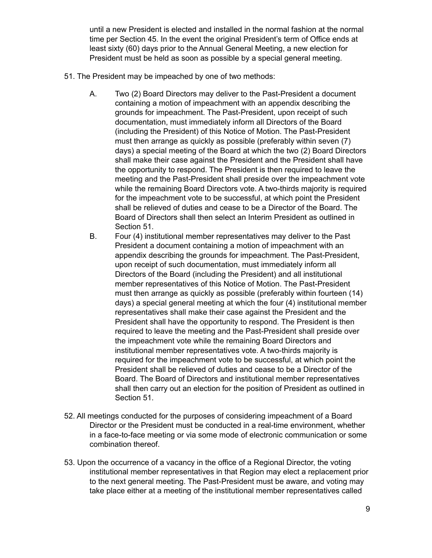until a new President is elected and installed in the normal fashion at the normal time per Section 45. In the event the original President's term of Office ends at least sixty (60) days prior to the Annual General Meeting, a new election for President must be held as soon as possible by a special general meeting.

- 51. The President may be impeached by one of two methods:
	- A. Two (2) Board Directors may deliver to the Past-President a document containing a motion of impeachment with an appendix describing the grounds for impeachment. The Past-President, upon receipt of such documentation, must immediately inform all Directors of the Board (including the President) of this Notice of Motion. The Past-President must then arrange as quickly as possible (preferably within seven (7) days) a special meeting of the Board at which the two (2) Board Directors shall make their case against the President and the President shall have the opportunity to respond. The President is then required to leave the meeting and the Past-President shall preside over the impeachment vote while the remaining Board Directors vote. A two-thirds majority is required for the impeachment vote to be successful, at which point the President shall be relieved of duties and cease to be a Director of the Board. The Board of Directors shall then select an Interim President as outlined in Section 51.
	- B. Four (4) institutional member representatives may deliver to the Past President a document containing a motion of impeachment with an appendix describing the grounds for impeachment. The Past-President, upon receipt of such documentation, must immediately inform all Directors of the Board (including the President) and all institutional member representatives of this Notice of Motion. The Past-President must then arrange as quickly as possible (preferably within fourteen (14) days) a special general meeting at which the four (4) institutional member representatives shall make their case against the President and the President shall have the opportunity to respond. The President is then required to leave the meeting and the Past-President shall preside over the impeachment vote while the remaining Board Directors and institutional member representatives vote. A two-thirds majority is required for the impeachment vote to be successful, at which point the President shall be relieved of duties and cease to be a Director of the Board. The Board of Directors and institutional member representatives shall then carry out an election for the position of President as outlined in Section 51.
- 52. All meetings conducted for the purposes of considering impeachment of a Board Director or the President must be conducted in a real-time environment, whether in a face-to-face meeting or via some mode of electronic communication or some combination thereof.
- 53. Upon the occurrence of a vacancy in the office of a Regional Director, the voting institutional member representatives in that Region may elect a replacement prior to the next general meeting. The Past-President must be aware, and voting may take place either at a meeting of the institutional member representatives called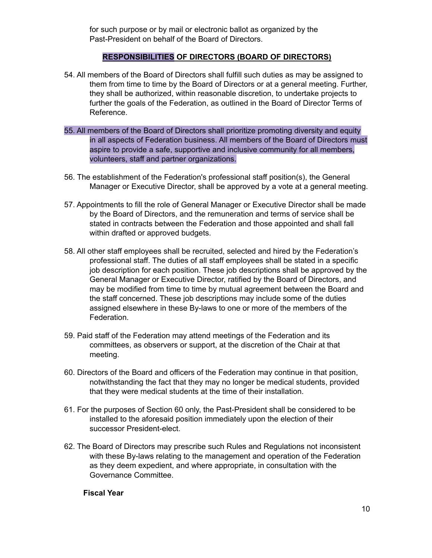for such purpose or by mail or electronic ballot as organized by the Past-President on behalf of the Board of Directors.

#### **RESPONSIBILITIES OF DIRECTORS (BOARD OF DIRECTORS)**

- 54. All members of the Board of Directors shall fulfill such duties as may be assigned to them from time to time by the Board of Directors or at a general meeting. Further, they shall be authorized, within reasonable discretion, to undertake projects to further the goals of the Federation, as outlined in the Board of Director Terms of Reference.
- 55. All members of the Board of Directors shall prioritize promoting diversity and equity in all aspects of Federation business. All members of the Board of Directors must aspire to provide a safe, supportive and inclusive community for all members, volunteers, staff and partner organizations.
- 56. The establishment of the Federation's professional staff position(s), the General Manager or Executive Director, shall be approved by a vote at a general meeting.
- 57. Appointments to fill the role of General Manager or Executive Director shall be made by the Board of Directors, and the remuneration and terms of service shall be stated in contracts between the Federation and those appointed and shall fall within drafted or approved budgets.
- 58. All other staff employees shall be recruited, selected and hired by the Federation's professional staff. The duties of all staff employees shall be stated in a specific job description for each position. These job descriptions shall be approved by the General Manager or Executive Director, ratified by the Board of Directors, and may be modified from time to time by mutual agreement between the Board and the staff concerned. These job descriptions may include some of the duties assigned elsewhere in these By-laws to one or more of the members of the Federation.
- 59. Paid staff of the Federation may attend meetings of the Federation and its committees, as observers or support, at the discretion of the Chair at that meeting.
- 60. Directors of the Board and officers of the Federation may continue in that position, notwithstanding the fact that they may no longer be medical students, provided that they were medical students at the time of their installation.
- 61. For the purposes of Section 60 only, the Past-President shall be considered to be installed to the aforesaid position immediately upon the election of their successor President-elect.
- 62. The Board of Directors may prescribe such Rules and Regulations not inconsistent with these By-laws relating to the management and operation of the Federation as they deem expedient, and where appropriate, in consultation with the Governance Committee.

#### **Fiscal Year**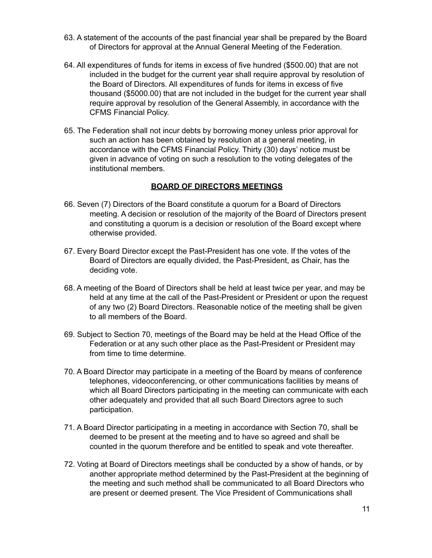- 63. A statement of the accounts of the past financial year shall be prepared by the Board of Directors for approval at the Annual General Meeting of the Federation.
- 64. All expenditures of funds for items in excess of five hundred (\$500.00) that are not included in the budget for the current year shall require approval by resolution of the Board of Directors. All expenditures of funds for items in excess of five thousand (\$5000.00) that are not included in the budget for the current year shall require approval by resolution of the General Assembly, in accordance with the CFMS Financial Policy.
- 65. The Federation shall not incur debts by borrowing money unless prior approval for such an action has been obtained by resolution at a general meeting, in accordance with the CFMS Financial Policy. Thirty (30) days' notice must be given in advance of voting on such a resolution to the voting delegates of the institutional members.

#### **BOARD OF DIRECTORS MEETINGS**

- 66. Seven (7) Directors of the Board constitute a quorum for a Board of Directors meeting. A decision or resolution of the majority of the Board of Directors present and constituting a quorum is a decision or resolution of the Board except where otherwise provided.
- 67. Every Board Director except the Past-President has one vote. If the votes of the Board of Directors are equally divided, the Past-President, as Chair, has the deciding vote.
- 68. A meeting of the Board of Directors shall be held at least twice per year, and may be held at any time at the call of the Past-President or President or upon the request of any two (2) Board Directors. Reasonable notice of the meeting shall be given to all members of the Board.
- 69. Subject to Section 70, meetings of the Board may be held at the Head Office of the Federation or at any such other place as the Past-President or President may from time to time determine.
- 70. A Board Director may participate in a meeting of the Board by means of conference telephones, videoconferencing, or other communications facilities by means of which all Board Directors participating in the meeting can communicate with each other adequately and provided that all such Board Directors agree to such participation.
- 71. A Board Director participating in a meeting in accordance with Section 70, shall be deemed to be present at the meeting and to have so agreed and shall be counted in the quorum therefore and be entitled to speak and vote thereafter.
- 72. Voting at Board of Directors meetings shall be conducted by a show of hands, or by another appropriate method determined by the Past-President at the beginning of the meeting and such method shall be communicated to all Board Directors who are present or deemed present. The Vice President of Communications shall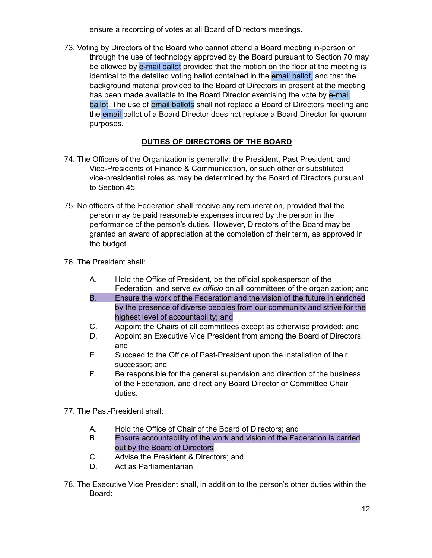ensure a recording of votes at all Board of Directors meetings.

73. Voting by Directors of the Board who cannot attend a Board meeting in-person or through the use of technology approved by the Board pursuant to Section 70 may be allowed by e-mail ballot provided that the motion on the floor at the meeting is identical to the detailed voting ballot contained in the email ballot, and that the background material provided to the Board of Directors in present at the meeting has been made available to the Board Director exercising the vote by e-mail ballot. The use of email ballots shall not replace a Board of Directors meeting and the email ballot of a Board Director does not replace a Board Director for quorum purposes.

# **DUTIES OF DIRECTORS OF THE BOARD**

- 74. The Officers of the Organization is generally: the President, Past President, and Vice-Presidents of Finance & Communication, or such other or substituted vice-presidential roles as may be determined by the Board of Directors pursuant to Section 45.
- 75. No officers of the Federation shall receive any remuneration, provided that the person may be paid reasonable expenses incurred by the person in the performance of the person's duties. However, Directors of the Board may be granted an award of appreciation at the completion of their term, as approved in the budget.
- 76. The President shall:
	- A. Hold the Office of President, be the official spokesperson of the Federation, and serve *ex officio* on all committees of the organization; and
	- B. Ensure the work of the Federation and the vision of the future in enriched by the presence of diverse peoples from our community and strive for the highest level of accountability; and
	- C. Appoint the Chairs of all committees except as otherwise provided; and
	- D. Appoint an Executive Vice President from among the Board of Directors; and
	- E. Succeed to the Office of Past-President upon the installation of their successor; and
	- F. Be responsible for the general supervision and direction of the business of the Federation, and direct any Board Director or Committee Chair duties.
- 77. The Past-President shall:
	- A. Hold the Office of Chair of the Board of Directors; and
	- B. Ensure accountability of the work and vision of the Federation is carried out by the Board of Directors
	- C. Advise the President & Directors; and
	- D. Act as Parliamentarian.
- 78. The Executive Vice President shall, in addition to the person's other duties within the Board: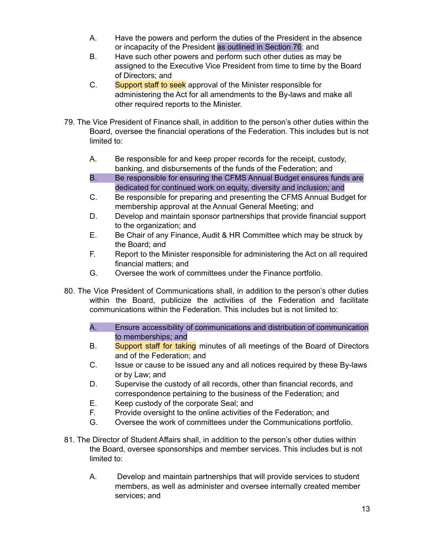- A. Have the powers and perform the duties of the President in the absence or incapacity of the President as outlined in Section 76; and
- B. Have such other powers and perform such other duties as may be assigned to the Executive Vice President from time to time by the Board of Directors; and
- C. Support staff to seek approval of the Minister responsible for administering the Act for all amendments to the By-laws and make all other required reports to the Minister.
- 79. The Vice President of Finance shall, in addition to the person's other duties within the Board, oversee the financial operations of the Federation. This includes but is not limited to:
	- A. Be responsible for and keep proper records for the receipt, custody, banking, and disbursements of the funds of the Federation; and
	- B. Be responsible for ensuring the CFMS Annual Budget ensures funds are dedicated for continued work on equity, diversity and inclusion; and
	- C. Be responsible for preparing and presenting the CFMS Annual Budget for membership approval at the Annual General Meeting; and
	- D. Develop and maintain sponsor partnerships that provide financial support to the organization; and
	- E. Be Chair of any Finance, Audit & HR Committee which may be struck by the Board; and
	- F. Report to the Minister responsible for administering the Act on all required financial matters; and
	- G. Oversee the work of committees under the Finance portfolio.
- 80. The Vice President of Communications shall, in addition to the person's other duties within the Board, publicize the activities of the Federation and facilitate communications within the Federation. This includes but is not limited to:
	- A. Ensure accessibility of communications and distribution of communication to memberships; and
	- B. Support staff for taking minutes of all meetings of the Board of Directors and of the Federation; and
	- C. Issue or cause to be issued any and all notices required by these By-laws or by Law; and
	- D. Supervise the custody of all records, other than financial records, and correspondence pertaining to the business of the Federation; and
	- E. Keep custody of the corporate Seal; and
	- F. Provide oversight to the online activities of the Federation; and
	- G. Oversee the work of committees under the Communications portfolio.
- 81. The Director of Student Affairs shall, in addition to the person's other duties within the Board, oversee sponsorships and member services. This includes but is not limited to:
	- A. Develop and maintain partnerships that will provide services to student members, as well as administer and oversee internally created member services; and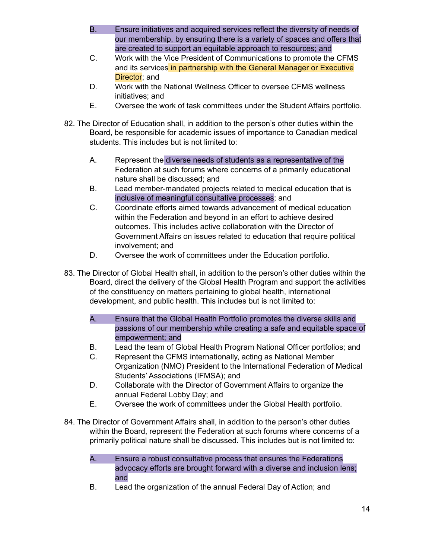- B. Ensure initiatives and acquired services reflect the diversity of needs of our membership, by ensuring there is a variety of spaces and offers that are created to support an equitable approach to resources; and
- C. Work with the Vice President of Communications to promote the CFMS and its services in partnership with the General Manager or Executive Director; and
- D. Work with the National Wellness Officer to oversee CFMS wellness initiatives; and
- E. Oversee the work of task committees under the Student Affairs portfolio.
- 82. The Director of Education shall, in addition to the person's other duties within the Board, be responsible for academic issues of importance to Canadian medical students. This includes but is not limited to:
	- A. Represent the diverse needs of students as a representative of the Federation at such forums where concerns of a primarily educational nature shall be discussed; and
	- B. Lead member-mandated projects related to medical education that is inclusive of meaningful consultative processes; and
	- C. Coordinate efforts aimed towards advancement of medical education within the Federation and beyond in an effort to achieve desired outcomes. This includes active collaboration with the Director of Government Affairs on issues related to education that require political involvement; and
	- D. Oversee the work of committees under the Education portfolio.
- 83. The Director of Global Health shall, in addition to the person's other duties within the Board, direct the delivery of the Global Health Program and support the activities of the constituency on matters pertaining to global health, international development, and public health. This includes but is not limited to:
	- A. Ensure that the Global Health Portfolio promotes the diverse skills and passions of our membership while creating a safe and equitable space of empowerment; and
	- B. Lead the team of Global Health Program National Officer portfolios; and
	- C. Represent the CFMS internationally, acting as National Member Organization (NMO) President to the International Federation of Medical Students' Associations (IFMSA); and
	- D. Collaborate with the Director of Government Affairs to organize the annual Federal Lobby Day; and
	- E. Oversee the work of committees under the Global Health portfolio.
- 84. The Director of Government Affairs shall, in addition to the person's other duties within the Board, represent the Federation at such forums where concerns of a primarily political nature shall be discussed. This includes but is not limited to:
	- A. Ensure a robust consultative process that ensures the Federations advocacy efforts are brought forward with a diverse and inclusion lens; and
	- B. Lead the organization of the annual Federal Day of Action; and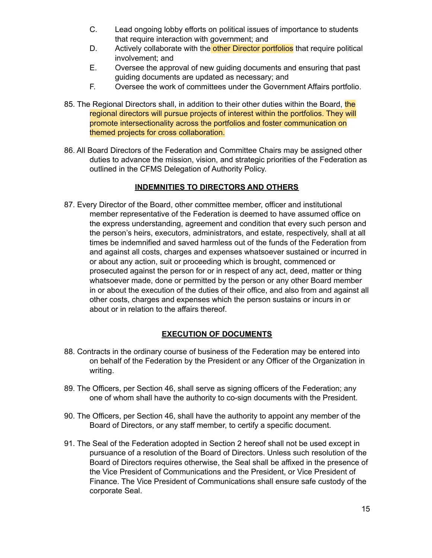- C. Lead ongoing lobby efforts on political issues of importance to students that require interaction with government; and
- D. Actively collaborate with the other Director portfolios that require political involvement; and
- E. Oversee the approval of new guiding documents and ensuring that past guiding documents are updated as necessary; and
- F. Oversee the work of committees under the Government Affairs portfolio.
- 85. The Regional Directors shall, in addition to their other duties within the Board, the regional directors will pursue projects of interest within the portfolios. They will promote intersectionality across the portfolios and foster communication on themed projects for cross collaboration.
- 86. All Board Directors of the Federation and Committee Chairs may be assigned other duties to advance the mission, vision, and strategic priorities of the Federation as outlined in the CFMS Delegation of Authority Policy.

## **INDEMNITIES TO DIRECTORS AND OTHERS**

87. Every Director of the Board, other committee member, officer and institutional member representative of the Federation is deemed to have assumed office on the express understanding, agreement and condition that every such person and the person's heirs, executors, administrators, and estate, respectively, shall at all times be indemnified and saved harmless out of the funds of the Federation from and against all costs, charges and expenses whatsoever sustained or incurred in or about any action, suit or proceeding which is brought, commenced or prosecuted against the person for or in respect of any act, deed, matter or thing whatsoever made, done or permitted by the person or any other Board member in or about the execution of the duties of their office, and also from and against all other costs, charges and expenses which the person sustains or incurs in or about or in relation to the affairs thereof.

## **EXECUTION OF DOCUMENTS**

- 88. Contracts in the ordinary course of business of the Federation may be entered into on behalf of the Federation by the President or any Officer of the Organization in writing.
- 89. The Officers, per Section 46, shall serve as signing officers of the Federation; any one of whom shall have the authority to co-sign documents with the President.
- 90. The Officers, per Section 46, shall have the authority to appoint any member of the Board of Directors, or any staff member, to certify a specific document.
- 91. The Seal of the Federation adopted in Section 2 hereof shall not be used except in pursuance of a resolution of the Board of Directors. Unless such resolution of the Board of Directors requires otherwise, the Seal shall be affixed in the presence of the Vice President of Communications and the President, or Vice President of Finance. The Vice President of Communications shall ensure safe custody of the corporate Seal.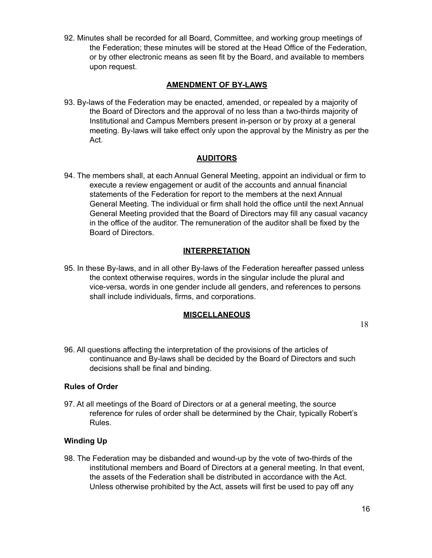92. Minutes shall be recorded for all Board, Committee, and working group meetings of the Federation; these minutes will be stored at the Head Office of the Federation, or by other electronic means as seen fit by the Board, and available to members upon request.

#### **AMENDMENT OF BY-LAWS**

93. By-laws of the Federation may be enacted, amended, or repealed by a majority of the Board of Directors and the approval of no less than a two-thirds majority of Institutional and Campus Members present in-person or by proxy at a general meeting. By-laws will take effect only upon the approval by the Ministry as per the Act.

## **AUDITORS**

94. The members shall, at each Annual General Meeting, appoint an individual or firm to execute a review engagement or audit of the accounts and annual financial statements of the Federation for report to the members at the next Annual General Meeting. The individual or firm shall hold the office until the next Annual General Meeting provided that the Board of Directors may fill any casual vacancy in the office of the auditor. The remuneration of the auditor shall be fixed by the Board of Directors.

#### **INTERPRETATION**

95. In these By-laws, and in all other By-laws of the Federation hereafter passed unless the context otherwise requires, words in the singular include the plural and vice-versa, words in one gender include all genders, and references to persons shall include individuals, firms, and corporations.

#### **MISCELLANEOUS**

96. All questions affecting the interpretation of the provisions of the articles of continuance and By-laws shall be decided by the Board of Directors and such decisions shall be final and binding.

#### **Rules of Order**

97. At all meetings of the Board of Directors or at a general meeting, the source reference for rules of order shall be determined by the Chair, typically Robert's Rules.

#### **Winding Up**

98. The Federation may be disbanded and wound-up by the vote of two-thirds of the institutional members and Board of Directors at a general meeting. In that event, the assets of the Federation shall be distributed in accordance with the Act. Unless otherwise prohibited by the Act, assets will first be used to pay off any